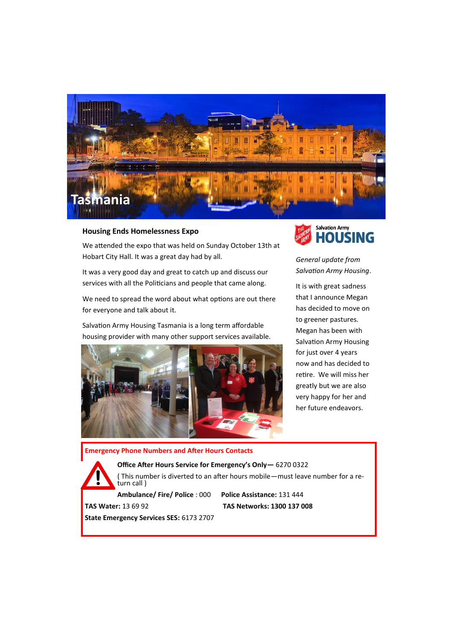

# **Housing Ends Homelessness Expo**

We attended the expo that was held on Sunday October 13th at Hobart City Hall. It was a great day had by all.

It was a very good day and great to catch up and discuss our services with all the Politicians and people that came along.

We need to spread the word about what options are out there for everyone and talk about it.

Salvation Army Housing Tasmania is a long term affordable housing provider with many other support services available.





*General update from Salvation Army Housing*.

It is with great sadness that I announce Megan has decided to move on to greener pastures. Megan has been with Salvation Army Housing for just over 4 years now and has decided to retire. We will miss her greatly but we are also very happy for her and her future endeavors.

## **Emergency Phone Numbers and After Hours Contacts**



**Office After Hours Service for Emergency's Only—** 6270 0322 ( This number is diverted to an after hours mobile—must leave number for a return call )

**Ambulance/ Fire/ Police** : 000 **Police Assistance:** 131 444 **TAS Water:** 13 69 92 **TAS Networks: 1300 137 008**

**State Emergency Services SES:** 6173 2707